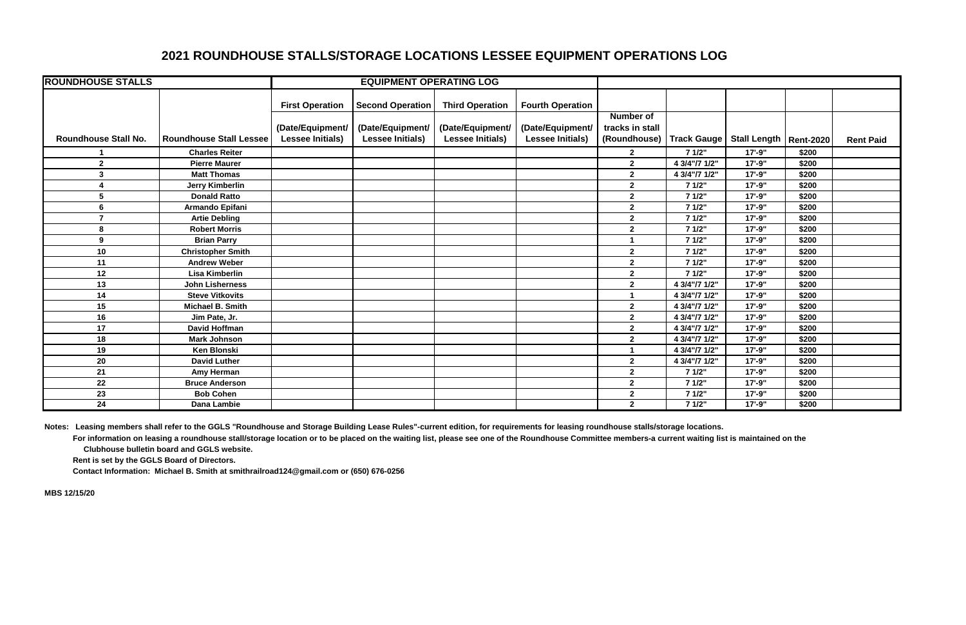## **2021 ROUNDHOUSE STALLS/STORAGE LOCATIONS LESSEE EQUIPMENT OPERATIONS LOG**

| <b>ROUNDHOUSE STALLS</b>    |                                | <b>EQUIPMENT OPERATING LOG</b> |                         |                         |                         |                  |               |                          |       |                  |
|-----------------------------|--------------------------------|--------------------------------|-------------------------|-------------------------|-------------------------|------------------|---------------|--------------------------|-------|------------------|
|                             |                                | <b>First Operation</b>         | <b>Second Operation</b> | <b>Third Operation</b>  | <b>Fourth Operation</b> |                  |               |                          |       |                  |
|                             |                                |                                |                         |                         |                         | <b>Number of</b> |               |                          |       |                  |
|                             |                                | (Date/Equipment/               | (Date/Equipment/        | (Date/Equipment/        | (Date/Equipment/        | tracks in stall  |               |                          |       |                  |
| <b>Roundhouse Stall No.</b> | <b>Roundhouse Stall Lessee</b> | <b>Lessee Initials)</b>        | <b>Lessee Initials)</b> | <b>Lessee Initials)</b> | <b>Lessee Initials)</b> | (Roundhouse)     | Track Gauge   | Stall Length   Rent-2020 |       | <b>Rent Paid</b> |
|                             | <b>Charles Reiter</b>          |                                |                         |                         |                         | $\mathbf{2}$     | 71/2"         | $17 - 9"$                | \$200 |                  |
| $\mathbf{2}$                | <b>Pierre Maurer</b>           |                                |                         |                         |                         | $\overline{2}$   | 4 3/4"/7 1/2" | $17' - 9''$              | \$200 |                  |
| $\mathbf{3}$                | <b>Matt Thomas</b>             |                                |                         |                         |                         | $\mathbf{2}$     | 4 3/4"/7 1/2" | $17 - 9"$                | \$200 |                  |
|                             | <b>Jerry Kimberlin</b>         |                                |                         |                         |                         | $\overline{2}$   | 7 1/2"        | $17' - 9''$              | \$200 |                  |
| 5                           | <b>Donald Ratto</b>            |                                |                         |                         |                         | $\overline{2}$   | 7 1/2"        | $17 - 9"$                | \$200 |                  |
| 6                           | Armando Epifani                |                                |                         |                         |                         | $\overline{2}$   | 71/2"         | $17 - 9"$                | \$200 |                  |
| $\overline{7}$              | <b>Artie Debling</b>           |                                |                         |                         |                         | $\overline{2}$   | 7 1/2"        | $17' - 9''$              | \$200 |                  |
| 8                           | <b>Robert Morris</b>           |                                |                         |                         |                         | $\overline{2}$   | 7 1/2"        | $17 - 9"$                | \$200 |                  |
| 9                           | <b>Brian Parry</b>             |                                |                         |                         |                         |                  | 71/2"         | $17 - 9"$                | \$200 |                  |
| 10                          | <b>Christopher Smith</b>       |                                |                         |                         |                         | $\mathbf{2}$     | 7 1/2"        | $17 - 9"$                | \$200 |                  |
| 11                          | <b>Andrew Weber</b>            |                                |                         |                         |                         | $\overline{2}$   | 7 1/2"        | $17 - 9"$                | \$200 |                  |
| 12                          | <b>Lisa Kimberlin</b>          |                                |                         |                         |                         | $\overline{2}$   | 71/2"         | $17 - 9"$                | \$200 |                  |
| 13                          | <b>John Lisherness</b>         |                                |                         |                         |                         | $\overline{2}$   | 4 3/4"/7 1/2" | $17 - 9"$                | \$200 |                  |
| 14                          | <b>Steve Vitkovits</b>         |                                |                         |                         |                         |                  | 4 3/4"/7 1/2" | $17 - 9"$                | \$200 |                  |
| 15                          | Michael B. Smith               |                                |                         |                         |                         | $\overline{2}$   | 4 3/4"/7 1/2" | $17 - 9"$                | \$200 |                  |
| 16                          | Jim Pate, Jr.                  |                                |                         |                         |                         | $\overline{2}$   | 4 3/4"/7 1/2" | $17 - 9"$                | \$200 |                  |
| 17                          | <b>David Hoffman</b>           |                                |                         |                         |                         | $\mathbf{2}$     | 4 3/4"/7 1/2" | $17 - 9"$                | \$200 |                  |
| 18                          | <b>Mark Johnson</b>            |                                |                         |                         |                         | $\overline{2}$   | 4 3/4"/7 1/2" | $17 - 9"$                | \$200 |                  |
| 19                          | <b>Ken Blonski</b>             |                                |                         |                         |                         |                  | 4 3/4"/7 1/2" | $17' - 9''$              | \$200 |                  |
| 20                          | <b>David Luther</b>            |                                |                         |                         |                         | $\overline{2}$   | 4 3/4"/7 1/2" | $17' - 9''$              | \$200 |                  |
| 21                          | Amy Herman                     |                                |                         |                         |                         | $\overline{2}$   | 7 1/2"        | $17' - 9''$              | \$200 |                  |
| 22                          | <b>Bruce Anderson</b>          |                                |                         |                         |                         | $\overline{2}$   | 71/2"         | $17' - 9''$              | \$200 |                  |
| 23                          | <b>Bob Cohen</b>               |                                |                         |                         |                         | $\overline{2}$   | 7 1/2"        | $17 - 9"$                | \$200 |                  |
| $\overline{24}$             | Dana Lambie                    |                                |                         |                         |                         | $\overline{2}$   | 7 1/2"        | $17 - 9"$                | \$200 |                  |

**Notes: Leasing members shall refer to the GGLS "Roundhouse and Storage Building Lease Rules"-current edition, for requirements for leasing roundhouse stalls/storage locations.** For information on leasing a roundhouse stall/storage location or to be placed on the waiting list, please see one of the Roundhouse Committee members-a current waiting list is maintained on the  **Clubhouse bulletin board and GGLS website.**

 **Rent is set by the GGLS Board of Directors.** 

 **Contact Information: Michael B. Smith at smithrailroad124@gmail.com or (650) 676-0256**

**MBS 12/15/20**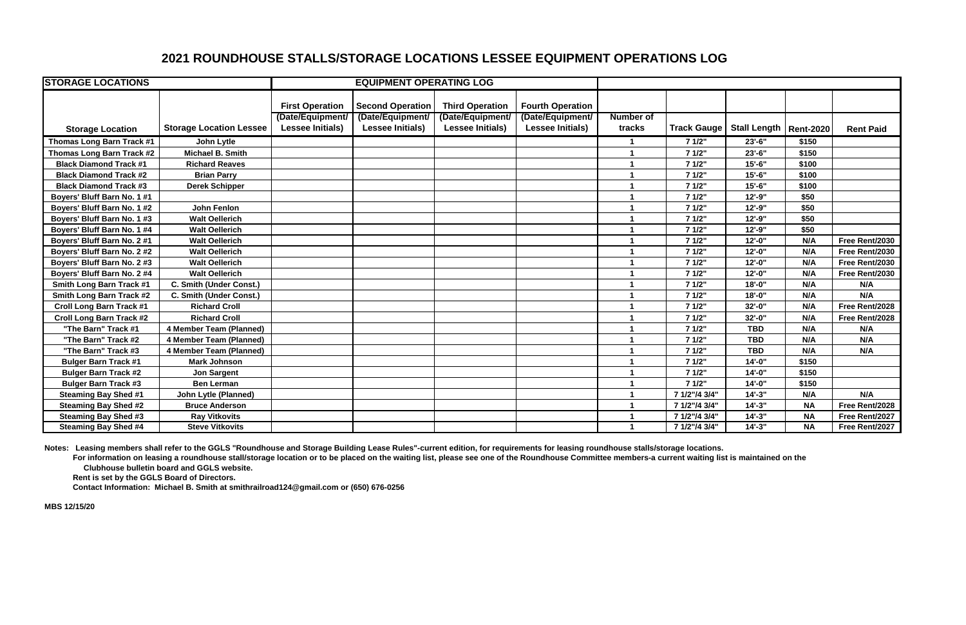## **2021 ROUNDHOUSE STALLS/STORAGE LOCATIONS LESSEE EQUIPMENT OPERATIONS LOG**

| <b>STORAGE LOCATIONS</b>        |                                | <b>EQUIPMENT OPERATING LOG</b> |                         |                         |                         |                      |                    |                          |           |                  |
|---------------------------------|--------------------------------|--------------------------------|-------------------------|-------------------------|-------------------------|----------------------|--------------------|--------------------------|-----------|------------------|
|                                 |                                |                                |                         |                         |                         |                      |                    |                          |           |                  |
|                                 |                                | <b>First Operation</b>         | <b>Second Operation</b> | <b>Third Operation</b>  | <b>Fourth Operation</b> |                      |                    |                          |           |                  |
|                                 |                                | (Date/Equipment/               | (Date/Equipment/        | (Date/Equipment/        | (Date/Equipment/        | <b>Number of</b>     |                    |                          |           |                  |
| <b>Storage Location</b>         | <b>Storage Location Lessee</b> | <b>Lessee Initials)</b>        | <b>Lessee Initials)</b> | <b>Lessee Initials)</b> | <b>Lessee Initials)</b> | tracks               | <b>Track Gauge</b> | Stall Length   Rent-2020 |           | <b>Rent Paid</b> |
| Thomas Long Barn Track #1       | John Lytle                     |                                |                         |                         |                         |                      | 7 1/2"             | $23'-6$ "                | \$150     |                  |
| Thomas Long Barn Track #2       | <b>Michael B. Smith</b>        |                                |                         |                         |                         |                      | 7 1/2"             | 23'-6"                   | \$150     |                  |
| <b>Black Diamond Track #1</b>   | <b>Richard Reaves</b>          |                                |                         |                         |                         |                      | 71/2"              | $15 - 6$                 | \$100     |                  |
| <b>Black Diamond Track #2</b>   | <b>Brian Parry</b>             |                                |                         |                         |                         |                      | 7 1/2"             | $15 - 6$                 | \$100     |                  |
| <b>Black Diamond Track #3</b>   | <b>Derek Schipper</b>          |                                |                         |                         |                         |                      | 7 1/2"             | $15 - 6$                 | \$100     |                  |
| Boyers' Bluff Barn No. 1 #1     |                                |                                |                         |                         |                         |                      | 71/2"              | $12 - 9"$                | \$50      |                  |
| Boyers' Bluff Barn No. 1 #2     | <b>John Fenlon</b>             |                                |                         |                         |                         |                      | 7 1/2"             | $12 - 9$ "               | \$50      |                  |
| Boyers' Bluff Barn No. 1 #3     | <b>Walt Oellerich</b>          |                                |                         |                         |                         |                      | 7 1/2"             | $12 - 9$ "               | \$50      |                  |
| Boyers' Bluff Barn No. 1 #4     | <b>Walt Oellerich</b>          |                                |                         |                         |                         |                      | 7 1/2"             | $12 - 9"$                | \$50      |                  |
| Boyers' Bluff Barn No. 2 #1     | <b>Walt Oellerich</b>          |                                |                         |                         |                         |                      | 7 1/2"             | $12 - 0$ "               | N/A       | Free Rent/2030   |
| Boyers' Bluff Barn No. 2 #2     | <b>Walt Oellerich</b>          |                                |                         |                         |                         |                      | 7 1/2"             | $12 - 0$ "               | N/A       | Free Rent/2030   |
| Boyers' Bluff Barn No. 2 #3     | <b>Walt Oellerich</b>          |                                |                         |                         |                         |                      | 7 1/2"             | $12 - 0$ "               | N/A       | Free Rent/2030   |
| Boyers' Bluff Barn No. 2 #4     | <b>Walt Oellerich</b>          |                                |                         |                         |                         |                      | 7 1/2"             | $12 - 0$ "               | N/A       | Free Rent/2030   |
| <b>Smith Long Barn Track #1</b> | C. Smith (Under Const.)        |                                |                         |                         |                         |                      | 7 1/2"             | $18 - 0$ "               | N/A       | N/A              |
| <b>Smith Long Barn Track #2</b> | C. Smith (Under Const.)        |                                |                         |                         |                         |                      | 7 1/2"             | $18 - 0$ "               | N/A       | N/A              |
| <b>Croll Long Barn Track #1</b> | <b>Richard Croll</b>           |                                |                         |                         |                         |                      | 7 1/2"             | 32'-0"                   | N/A       | Free Rent/2028   |
| <b>Croll Long Barn Track #2</b> | <b>Richard Croll</b>           |                                |                         |                         |                         | $\blacktriangleleft$ | 7 1/2"             | 32'-0"                   | N/A       | Free Rent/2028   |
| "The Barn" Track #1             | 4 Member Team (Planned)        |                                |                         |                         |                         |                      | 71/2"              | <b>TBD</b>               | N/A       | N/A              |
| "The Barn" Track #2             | 4 Member Team (Planned)        |                                |                         |                         |                         |                      | 7 1/2"             | <b>TBD</b>               | N/A       | N/A              |
| "The Barn" Track #3             | 4 Member Team (Planned)        |                                |                         |                         |                         |                      | 7 1/2"             | <b>TBD</b>               | N/A       | N/A              |
| <b>Bulger Barn Track #1</b>     | <b>Mark Johnson</b>            |                                |                         |                         |                         |                      | 71/2"              | $14 - 0$ "               | \$150     |                  |
| <b>Bulger Barn Track #2</b>     | <b>Jon Sargent</b>             |                                |                         |                         |                         |                      | 7 1/2"             | $14 - 0$ "               | \$150     |                  |
| <b>Bulger Barn Track #3</b>     | <b>Ben Lerman</b>              |                                |                         |                         |                         |                      | 7 1/2"             | $14 - 0$ "               | \$150     |                  |
| <b>Steaming Bay Shed #1</b>     | <b>John Lytle (Planned)</b>    |                                |                         |                         |                         |                      | 7 1/2"/4 3/4"      | $14 - 3"$                | N/A       | N/A              |
| <b>Steaming Bay Shed #2</b>     | <b>Bruce Anderson</b>          |                                |                         |                         |                         |                      | 7 1/2"/4 3/4"      | $14 - 3"$                | <b>NA</b> | Free Rent/2028   |
| <b>Steaming Bay Shed #3</b>     | <b>Ray Vitkovits</b>           |                                |                         |                         |                         |                      | 7 1/2"/4 3/4"      | $14 - 3"$                | <b>NA</b> | Free Rent/2027   |
| <b>Steaming Bay Shed #4</b>     | <b>Steve Vitkovits</b>         |                                |                         |                         |                         |                      | 7 1/2"/4 3/4"      | $14 - 3$                 | <b>NA</b> | Free Rent/2027   |

**Notes: Leasing members shall refer to the GGLS "Roundhouse and Storage Building Lease Rules"-current edition, for requirements for leasing roundhouse stalls/storage locations.** For information on leasing a roundhouse stall/storage location or to be placed on the waiting list, please see one of the Roundhouse Committee members-a current waiting list is maintained on the  **Clubhouse bulletin board and GGLS website.**

 **Rent is set by the GGLS Board of Directors.** 

 **Contact Information: Michael B. Smith at smithrailroad124@gmail.com or (650) 676-0256**

**MBS 12/15/20**